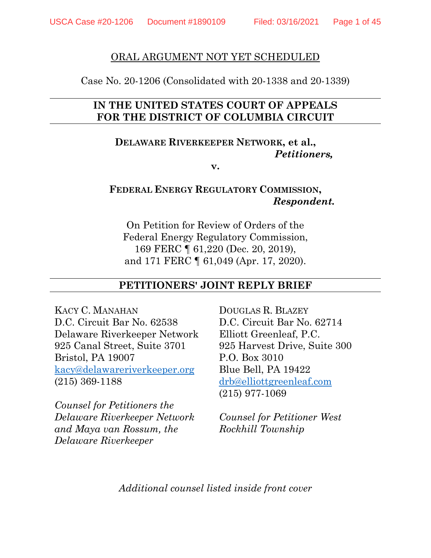#### ORAL ARGUMENT NOT YET SCHEDULED

Case No. 20-1206 (Consolidated with 20-1338 and 20-1339)

## **IN THE UNITED STATES COURT OF APPEALS FOR THE DISTRICT OF COLUMBIA CIRCUIT**

## **DELAWARE RIVERKEEPER NETWORK, et al.,** *Petitioners,*

**v.**

### **FEDERAL ENERGY REGULATORY COMMISSION,** *Respondent.*

On Petition for Review of Orders of the Federal Energy Regulatory Commission, 169 FERC ¶ 61,220 (Dec. 20, 2019), and 171 FERC ¶ 61,049 (Apr. 17, 2020).

#### **PETITIONERS' JOINT REPLY BRIEF**

KACY C. MANAHAN D.C. Circuit Bar No. 62538 Delaware Riverkeeper Network 925 Canal Street, Suite 3701 Bristol, PA 19007 [kacy@delawareriverkeeper.org](mailto:kacy@delawareriverkeeper.org) (215) 369-1188

*Counsel for Petitioners the Delaware Riverkeeper Network and Maya van Rossum, the Delaware Riverkeeper*

DOUGLAS R. BLAZEY D.C. Circuit Bar No. 62714 Elliott Greenleaf, P.C. 925 Harvest Drive, Suite 300 P.O. Box 3010 Blue Bell, PA 19422 [drb@elliottgreenleaf.com](mailto:drb@elliottgreenleaf.com) (215) 977-1069

*Counsel for Petitioner West Rockhill Township*

*Additional counsel listed inside front cover*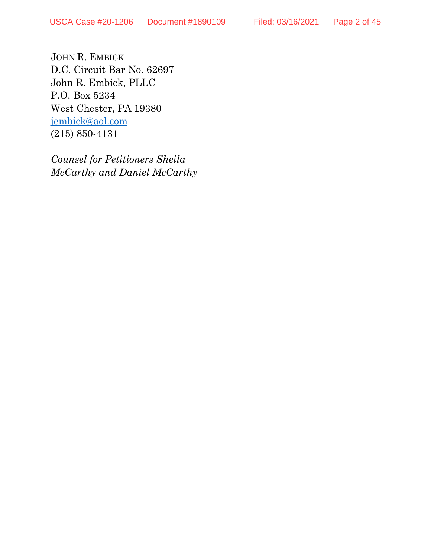JOHN R. EMBICK D.C. Circuit Bar No. 62697 John R. Embick, PLLC P.O. Box 5234 West Chester, PA 19380 [jembick@aol.com](mailto:jembick@aol.com) (215) 850-4131

*Counsel for Petitioners Sheila McCarthy and Daniel McCarthy*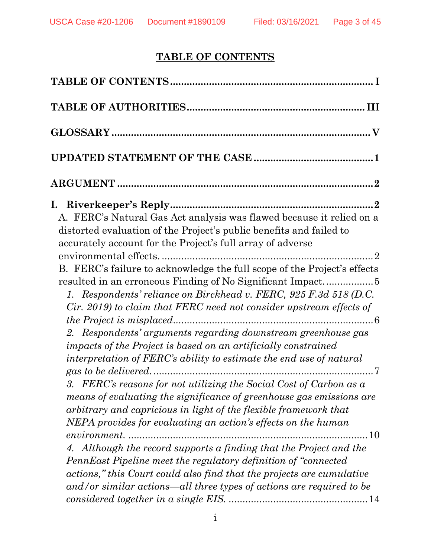# **TABLE OF CONTENTS**

<span id="page-2-0"></span>

| A. FERC's Natural Gas Act analysis was flawed because it relied on a<br>distorted evaluation of the Project's public benefits and failed to<br>accurately account for the Project's full array of adverse                                                                                                                                                                                                                      |
|--------------------------------------------------------------------------------------------------------------------------------------------------------------------------------------------------------------------------------------------------------------------------------------------------------------------------------------------------------------------------------------------------------------------------------|
| B. FERC's failure to acknowledge the full scope of the Project's effects<br>1. Respondents' reliance on Birckhead v. FERC, 925 F.3d 518 (D.C.<br>Cir. 2019) to claim that FERC need not consider upstream effects of<br>2. Respondents' arguments regarding downstream greenhouse gas<br>impacts of the Project is based on an artificially constrained<br>interpretation of FERC's ability to estimate the end use of natural |
| 3. FERC's reasons for not utilizing the Social Cost of Carbon as a<br>means of evaluating the significance of greenhouse gas emissions are<br>arbitrary and capricious in light of the flexible framework that<br>NEPA provides for evaluating an action's effects on the human<br>$\dots$ 10<br><i>environment</i>                                                                                                            |
| 4. Although the record supports a finding that the Project and the<br>PennEast Pipeline meet the regulatory definition of "connected"<br>actions," this Court could also find that the projects are cumulative<br>and/or similar actions—all three types of actions are required to be                                                                                                                                         |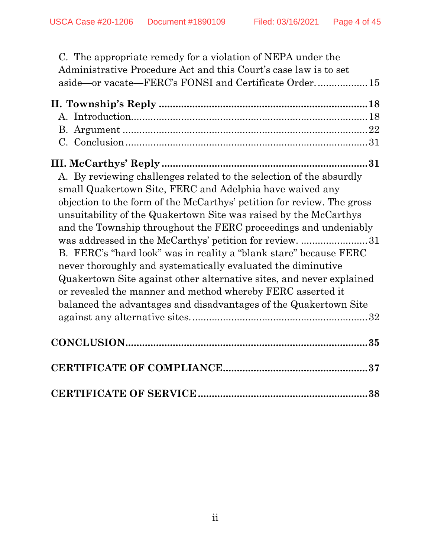| C. The appropriate remedy for a violation of NEPA under the                                                                                                                                                                                                                                                                                                                                                                                                                                                                                                                                                                                                                                                                                                |  |
|------------------------------------------------------------------------------------------------------------------------------------------------------------------------------------------------------------------------------------------------------------------------------------------------------------------------------------------------------------------------------------------------------------------------------------------------------------------------------------------------------------------------------------------------------------------------------------------------------------------------------------------------------------------------------------------------------------------------------------------------------------|--|
| Administrative Procedure Act and this Court's case law is to set                                                                                                                                                                                                                                                                                                                                                                                                                                                                                                                                                                                                                                                                                           |  |
| aside—or vacate—FERC's FONSI and Certificate Order 15                                                                                                                                                                                                                                                                                                                                                                                                                                                                                                                                                                                                                                                                                                      |  |
|                                                                                                                                                                                                                                                                                                                                                                                                                                                                                                                                                                                                                                                                                                                                                            |  |
|                                                                                                                                                                                                                                                                                                                                                                                                                                                                                                                                                                                                                                                                                                                                                            |  |
|                                                                                                                                                                                                                                                                                                                                                                                                                                                                                                                                                                                                                                                                                                                                                            |  |
|                                                                                                                                                                                                                                                                                                                                                                                                                                                                                                                                                                                                                                                                                                                                                            |  |
|                                                                                                                                                                                                                                                                                                                                                                                                                                                                                                                                                                                                                                                                                                                                                            |  |
| A. By reviewing challenges related to the selection of the absurdly<br>small Quakertown Site, FERC and Adelphia have waived any<br>objection to the form of the McCarthys' petition for review. The gross<br>unsuitability of the Quakertown Site was raised by the McCarthys<br>and the Township throughout the FERC proceedings and undeniably<br>was addressed in the McCarthys' petition for review. 31<br>B. FERC's "hard look" was in reality a "blank stare" because FERC<br>never thoroughly and systematically evaluated the diminutive<br>Quakertown Site against other alternative sites, and never explained<br>or revealed the manner and method whereby FERC asserted it<br>balanced the advantages and disadvantages of the Quakertown Site |  |
|                                                                                                                                                                                                                                                                                                                                                                                                                                                                                                                                                                                                                                                                                                                                                            |  |
|                                                                                                                                                                                                                                                                                                                                                                                                                                                                                                                                                                                                                                                                                                                                                            |  |
|                                                                                                                                                                                                                                                                                                                                                                                                                                                                                                                                                                                                                                                                                                                                                            |  |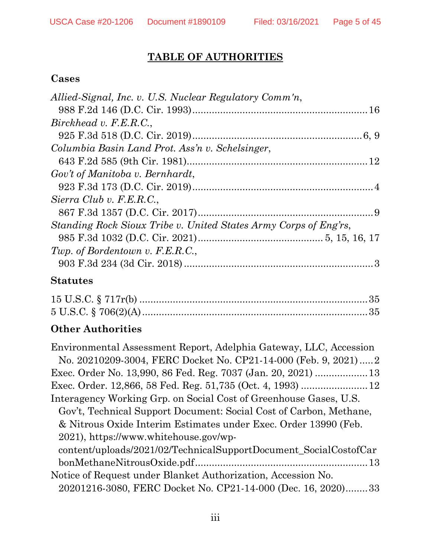# **TABLE OF AUTHORITIES**

# <span id="page-4-0"></span>**Cases**

| Allied-Signal, Inc. v. U.S. Nuclear Regulatory Comm'n,           |  |
|------------------------------------------------------------------|--|
|                                                                  |  |
| Birckhead v. F.E.R.C.,                                           |  |
|                                                                  |  |
| Columbia Basin Land Prot. Ass'n v. Schelsinger,                  |  |
|                                                                  |  |
| Gov't of Manitoba v. Bernhardt,                                  |  |
|                                                                  |  |
| Sierra Club v. F.E.R.C.,                                         |  |
|                                                                  |  |
| Standing Rock Sioux Tribe v. United States Army Corps of Eng'rs, |  |
|                                                                  |  |
| Twp. of Bordentown v. F.E.R.C.,                                  |  |
|                                                                  |  |
|                                                                  |  |

# **Statutes**

# **Other Authorities**

| Environmental Assessment Report, Adelphia Gateway, LLC, Accession  |
|--------------------------------------------------------------------|
| No. 20210209-3004, FERC Docket No. CP21-14-000 (Feb. 9, 2021)2     |
| Exec. Order No. 13,990, 86 Fed. Reg. 7037 (Jan. 20, 2021)  13      |
|                                                                    |
| Interagency Working Grp. on Social Cost of Greenhouse Gases, U.S.  |
| Gov't, Technical Support Document: Social Cost of Carbon, Methane, |
| & Nitrous Oxide Interim Estimates under Exec. Order 13990 (Feb.    |
| 2021), https://www.whitehouse.gov/wp-                              |
| content/uploads/2021/02/TechnicalSupportDocument_SocialCostofCar   |
|                                                                    |
| Notice of Request under Blanket Authorization, Accession No.       |
| 20201216-3080, FERC Docket No. CP21-14-000 (Dec. 16, 2020)33       |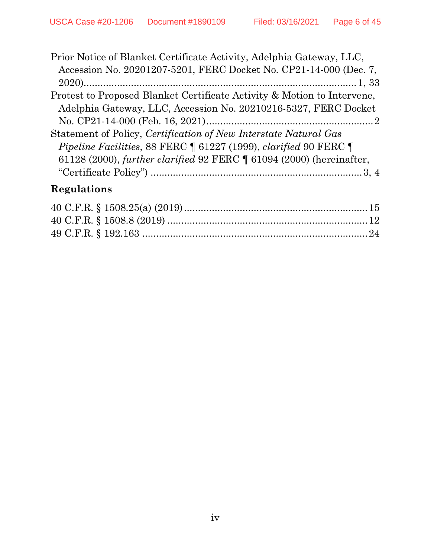| Prior Notice of Blanket Certificate Activity, Adelphia Gateway, LLC,           |  |
|--------------------------------------------------------------------------------|--|
| Accession No. 20201207-5201, FERC Docket No. CP21-14-000 (Dec. 7,              |  |
|                                                                                |  |
| Protest to Proposed Blanket Certificate Activity & Motion to Intervene,        |  |
| Adelphia Gateway, LLC, Accession No. 20210216-5327, FERC Docket                |  |
|                                                                                |  |
| Statement of Policy, Certification of New Interstate Natural Gas               |  |
| <i>Pipeline Facilities, 88 FERC</i> 1 61227 (1999), <i>clarified</i> 90 FERC 1 |  |
| 61128 (2000), further clarified 92 FERC 1 61094 (2000) (hereinafter,           |  |
|                                                                                |  |

# **Regulations**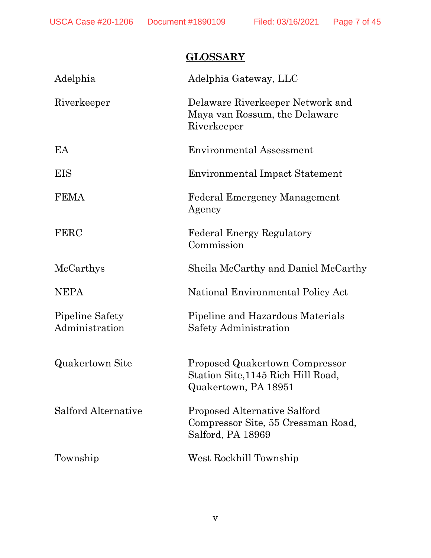# **GLOSSARY**

<span id="page-6-0"></span>

| Adelphia                          | Adelphia Gateway, LLC                                                                          |
|-----------------------------------|------------------------------------------------------------------------------------------------|
| Riverkeeper                       | Delaware Riverkeeper Network and<br>Maya van Rossum, the Delaware<br>Riverkeeper               |
| EA                                | <b>Environmental Assessment</b>                                                                |
| <b>EIS</b>                        | <b>Environmental Impact Statement</b>                                                          |
| <b>FEMA</b>                       | <b>Federal Emergency Management</b><br>Agency                                                  |
| <b>FERC</b>                       | <b>Federal Energy Regulatory</b><br>Commission                                                 |
| McCarthys                         | Sheila McCarthy and Daniel McCarthy                                                            |
| <b>NEPA</b>                       | National Environmental Policy Act                                                              |
| Pipeline Safety<br>Administration | Pipeline and Hazardous Materials<br>Safety Administration                                      |
| <b>Quakertown Site</b>            | Proposed Quakertown Compressor<br>Station Site, 1145 Rich Hill Road,<br>Quakertown, PA 18951   |
| Salford Alternative               | <b>Proposed Alternative Salford</b><br>Compressor Site, 55 Cressman Road,<br>Salford, PA 18969 |
| Township                          | West Rockhill Township                                                                         |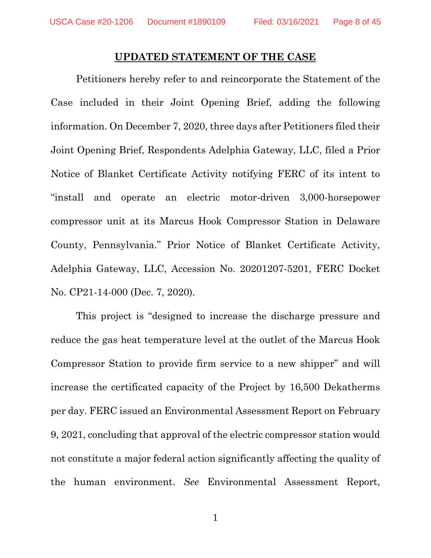#### **UPDATED STATEMENT OF THE CASE**

<span id="page-7-0"></span>Petitioners hereby refer to and reincorporate the Statement of the Case included in their Joint Opening Brief, adding the following information. On December 7, 2020, three days after Petitioners filed their Joint Opening Brief, Respondents Adelphia Gateway, LLC, filed a Prior Notice of Blanket Certificate Activity notifying FERC of its intent to "install and operate an electric motor-driven 3,000-horsepower compressor unit at its Marcus Hook Compressor Station in Delaware County, Pennsylvania." Prior Notice of Blanket Certificate Activity, Adelphia Gateway, LLC, Accession No. 20201207-5201, FERC Docket No. CP21-14-000 (Dec. 7, 2020).

This project is "designed to increase the discharge pressure and reduce the gas heat temperature level at the outlet of the Marcus Hook Compressor Station to provide firm service to a new shipper" and will increase the certificated capacity of the Project by 16,500 Dekatherms per day. FERC issued an Environmental Assessment Report on February 9, 2021, concluding that approval of the electric compressor station would not constitute a major federal action significantly affecting the quality of the human environment. *See* Environmental Assessment Report,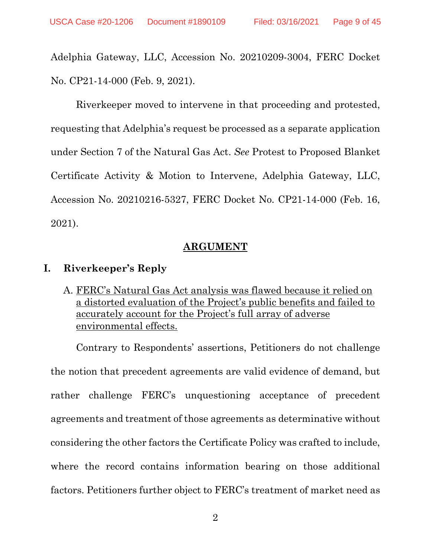Adelphia Gateway, LLC, Accession No. 20210209-3004, FERC Docket No. CP21-14-000 (Feb. 9, 2021).

Riverkeeper moved to intervene in that proceeding and protested, requesting that Adelphia's request be processed as a separate application under Section 7 of the Natural Gas Act. *See* Protest to Proposed Blanket Certificate Activity & Motion to Intervene, Adelphia Gateway, LLC, Accession No. 20210216-5327, FERC Docket No. CP21-14-000 (Feb. 16, 2021).

#### **ARGUMENT**

#### <span id="page-8-1"></span><span id="page-8-0"></span>**I. Riverkeeper's Reply**

<span id="page-8-2"></span>A. FERC's Natural Gas Act analysis was flawed because it relied on a distorted evaluation of the Project's public benefits and failed to accurately account for the Project's full array of adverse environmental effects.

Contrary to Respondents' assertions, Petitioners do not challenge the notion that precedent agreements are valid evidence of demand, but rather challenge FERC's unquestioning acceptance of precedent agreements and treatment of those agreements as determinative without considering the other factors the Certificate Policy was crafted to include, where the record contains information bearing on those additional factors. Petitioners further object to FERC's treatment of market need as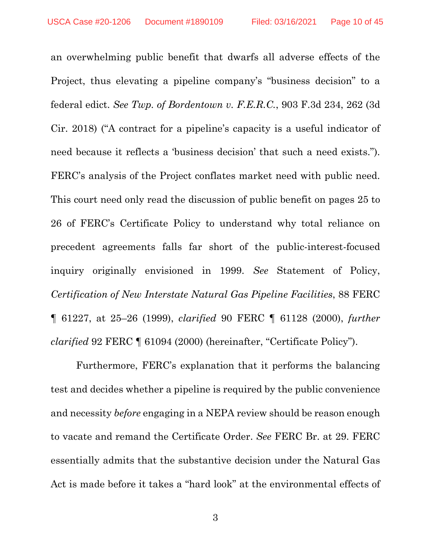an overwhelming public benefit that dwarfs all adverse effects of the Project, thus elevating a pipeline company's "business decision" to a federal edict. *See Twp. of Bordentown v. F.E.R.C.*, 903 F.3d 234, 262 (3d Cir. 2018) ("A contract for a pipeline's capacity is a useful indicator of need because it reflects a 'business decision' that such a need exists."). FERC's analysis of the Project conflates market need with public need. This court need only read the discussion of public benefit on pages 25 to 26 of FERC's Certificate Policy to understand why total reliance on precedent agreements falls far short of the public-interest-focused inquiry originally envisioned in 1999. *See* Statement of Policy, *Certification of New Interstate Natural Gas Pipeline Facilities*, 88 FERC ¶ 61227, at 25–26 (1999), *clarified* 90 FERC ¶ 61128 (2000), *further clarified* 92 FERC ¶ 61094 (2000) (hereinafter, "Certificate Policy").

Furthermore, FERC's explanation that it performs the balancing test and decides whether a pipeline is required by the public convenience and necessity *before* engaging in a NEPA review should be reason enough to vacate and remand the Certificate Order. *See* FERC Br. at 29. FERC essentially admits that the substantive decision under the Natural Gas Act is made before it takes a "hard look" at the environmental effects of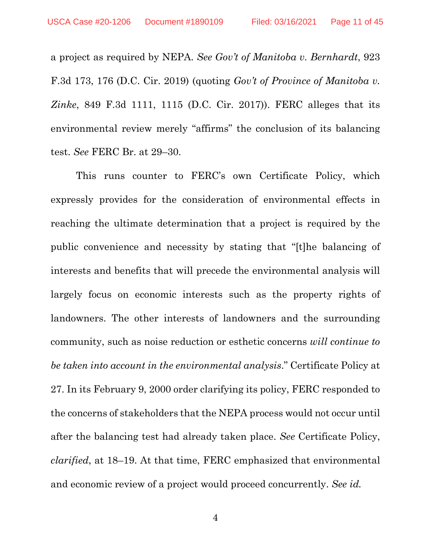a project as required by NEPA. *See Gov't of Manitoba v. Bernhardt*, 923 F.3d 173, 176 (D.C. Cir. 2019) (quoting *Gov't of Province of Manitoba v. Zinke*, 849 F.3d 1111, 1115 (D.C. Cir. 2017)). FERC alleges that its environmental review merely "affirms" the conclusion of its balancing test. *See* FERC Br. at 29–30.

This runs counter to FERC's own Certificate Policy, which expressly provides for the consideration of environmental effects in reaching the ultimate determination that a project is required by the public convenience and necessity by stating that "[t]he balancing of interests and benefits that will precede the environmental analysis will largely focus on economic interests such as the property rights of landowners. The other interests of landowners and the surrounding community, such as noise reduction or esthetic concerns *will continue to be taken into account in the environmental analysis*." Certificate Policy at 27. In its February 9, 2000 order clarifying its policy, FERC responded to the concerns of stakeholders that the NEPA process would not occur until after the balancing test had already taken place. *See* Certificate Policy, *clarified*, at 18–19. At that time, FERC emphasized that environmental and economic review of a project would proceed concurrently. *See id.*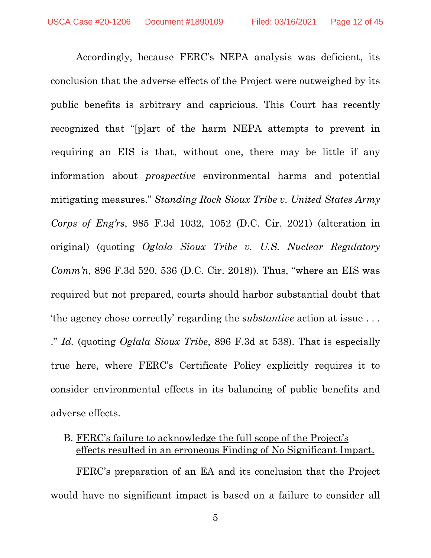Accordingly, because FERC's NEPA analysis was deficient, its conclusion that the adverse effects of the Project were outweighed by its public benefits is arbitrary and capricious. This Court has recently recognized that "[p]art of the harm NEPA attempts to prevent in requiring an EIS is that, without one, there may be little if any information about *prospective* environmental harms and potential mitigating measures." *Standing Rock Sioux Tribe v. United States Army Corps of Eng'rs*, 985 F.3d 1032, 1052 (D.C. Cir. 2021) (alteration in original) (quoting *Oglala Sioux Tribe v. U.S. Nuclear Regulatory Comm'n*, 896 F.3d 520, 536 (D.C. Cir. 2018)). Thus, "where an EIS was required but not prepared, courts should harbor substantial doubt that 'the agency chose correctly' regarding the *substantive* action at issue . . . ." *Id.* (quoting *Oglala Sioux Tribe*, 896 F.3d at 538). That is especially true here, where FERC's Certificate Policy explicitly requires it to consider environmental effects in its balancing of public benefits and adverse effects.

### <span id="page-11-0"></span>B. FERC's failure to acknowledge the full scope of the Project's effects resulted in an erroneous Finding of No Significant Impact.

FERC's preparation of an EA and its conclusion that the Project would have no significant impact is based on a failure to consider all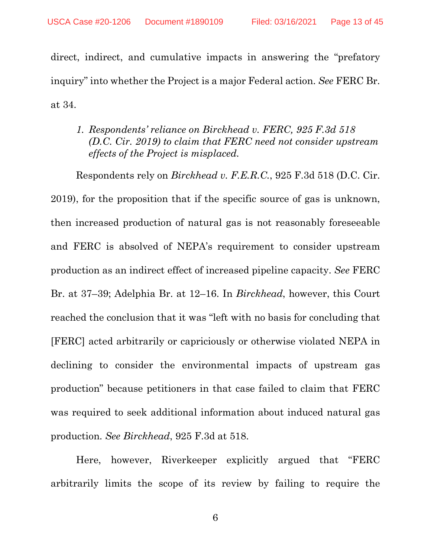direct, indirect, and cumulative impacts in answering the "prefatory inquiry" into whether the Project is a major Federal action. *See* FERC Br. at 34.

## <span id="page-12-0"></span>*1. Respondents' reliance on Birckhead v. FERC, 925 F.3d 518 (D.C. Cir. 2019) to claim that FERC need not consider upstream effects of the Project is misplaced.*

Respondents rely on *Birckhead v. F.E.R.C.*, 925 F.3d 518 (D.C. Cir. 2019), for the proposition that if the specific source of gas is unknown, then increased production of natural gas is not reasonably foreseeable and FERC is absolved of NEPA's requirement to consider upstream production as an indirect effect of increased pipeline capacity. *See* FERC Br. at 37–39; Adelphia Br. at 12–16. In *Birckhead*, however, this Court reached the conclusion that it was "left with no basis for concluding that [FERC] acted arbitrarily or capriciously or otherwise violated NEPA in declining to consider the environmental impacts of upstream gas production" because petitioners in that case failed to claim that FERC was required to seek additional information about induced natural gas production. *See Birckhead*, 925 F.3d at 518.

Here, however, Riverkeeper explicitly argued that "FERC arbitrarily limits the scope of its review by failing to require the

6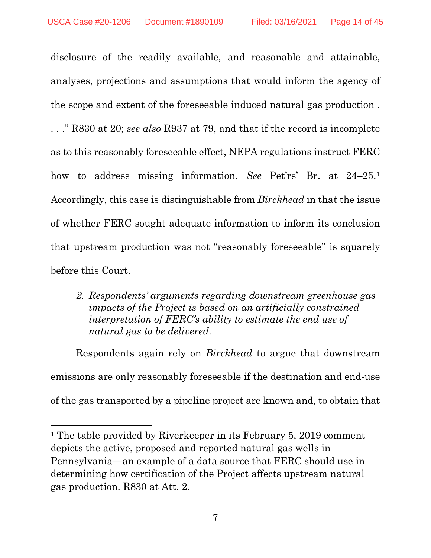disclosure of the readily available, and reasonable and attainable, analyses, projections and assumptions that would inform the agency of the scope and extent of the foreseeable induced natural gas production . . . ." R830 at 20; *see also* R937 at 79, and that if the record is incomplete as to this reasonably foreseeable effect, NEPA regulations instruct FERC how to address missing information. *See* Pet'rs' Br. at 24–25.[1](#page-13-1) Accordingly, this case is distinguishable from *Birckhead* in that the issue of whether FERC sought adequate information to inform its conclusion that upstream production was not "reasonably foreseeable" is squarely before this Court.

## <span id="page-13-0"></span>*2. Respondents' arguments regarding downstream greenhouse gas impacts of the Project is based on an artificially constrained interpretation of FERC's ability to estimate the end use of natural gas to be delivered.*

Respondents again rely on *Birckhead* to argue that downstream emissions are only reasonably foreseeable if the destination and end-use of the gas transported by a pipeline project are known and, to obtain that

 $\overline{a}$ 

<span id="page-13-1"></span><sup>&</sup>lt;sup>1</sup> The table provided by Riverkeeper in its February 5, 2019 comment depicts the active, proposed and reported natural gas wells in Pennsylvania—an example of a data source that FERC should use in determining how certification of the Project affects upstream natural gas production. R830 at Att. 2.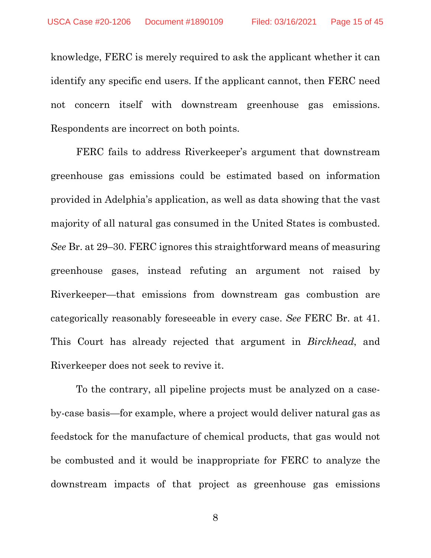knowledge, FERC is merely required to ask the applicant whether it can identify any specific end users. If the applicant cannot, then FERC need not concern itself with downstream greenhouse gas emissions. Respondents are incorrect on both points.

FERC fails to address Riverkeeper's argument that downstream greenhouse gas emissions could be estimated based on information provided in Adelphia's application, as well as data showing that the vast majority of all natural gas consumed in the United States is combusted. *See* Br. at 29–30. FERC ignores this straightforward means of measuring greenhouse gases, instead refuting an argument not raised by Riverkeeper—that emissions from downstream gas combustion are categorically reasonably foreseeable in every case. *See* FERC Br. at 41. This Court has already rejected that argument in *Birckhead*, and Riverkeeper does not seek to revive it.

To the contrary, all pipeline projects must be analyzed on a caseby-case basis—for example, where a project would deliver natural gas as feedstock for the manufacture of chemical products, that gas would not be combusted and it would be inappropriate for FERC to analyze the downstream impacts of that project as greenhouse gas emissions

8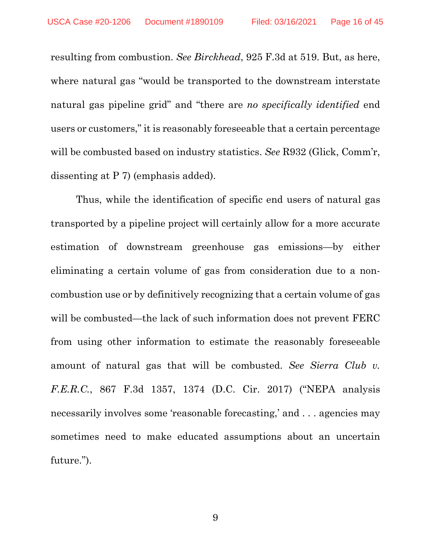resulting from combustion. *See Birckhead*, 925 F.3d at 519. But, as here, where natural gas "would be transported to the downstream interstate natural gas pipeline grid" and "there are *no specifically identified* end users or customers," it is reasonably foreseeable that a certain percentage will be combusted based on industry statistics. *See* R932 (Glick, Comm'r, dissenting at P 7) (emphasis added).

Thus, while the identification of specific end users of natural gas transported by a pipeline project will certainly allow for a more accurate estimation of downstream greenhouse gas emissions—by either eliminating a certain volume of gas from consideration due to a noncombustion use or by definitively recognizing that a certain volume of gas will be combusted—the lack of such information does not prevent FERC from using other information to estimate the reasonably foreseeable amount of natural gas that will be combusted. *See Sierra Club v. F.E.R.C.*, 867 F.3d 1357, 1374 (D.C. Cir. 2017) ("NEPA analysis necessarily involves some 'reasonable forecasting,' and . . . agencies may sometimes need to make educated assumptions about an uncertain future.").

9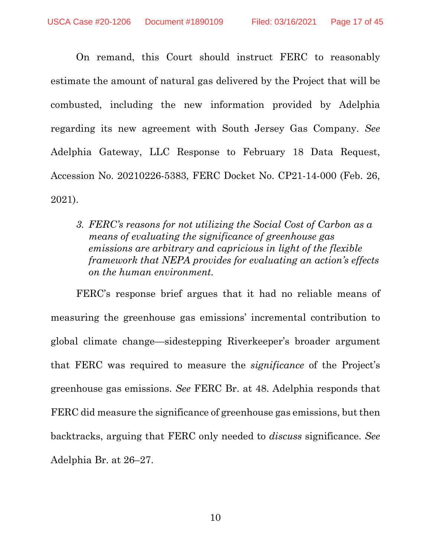On remand, this Court should instruct FERC to reasonably estimate the amount of natural gas delivered by the Project that will be combusted, including the new information provided by Adelphia regarding its new agreement with South Jersey Gas Company. *See*  Adelphia Gateway, LLC Response to February 18 Data Request, Accession No. 20210226-5383, FERC Docket No. CP21-14-000 (Feb. 26, 2021).

<span id="page-16-0"></span>*3. FERC's reasons for not utilizing the Social Cost of Carbon as a means of evaluating the significance of greenhouse gas emissions are arbitrary and capricious in light of the flexible framework that NEPA provides for evaluating an action's effects on the human environment.*

FERC's response brief argues that it had no reliable means of measuring the greenhouse gas emissions' incremental contribution to global climate change—sidestepping Riverkeeper's broader argument that FERC was required to measure the *significance* of the Project's greenhouse gas emissions. *See* FERC Br. at 48. Adelphia responds that FERC did measure the significance of greenhouse gas emissions, but then backtracks, arguing that FERC only needed to *discuss* significance. *See* Adelphia Br. at 26–27.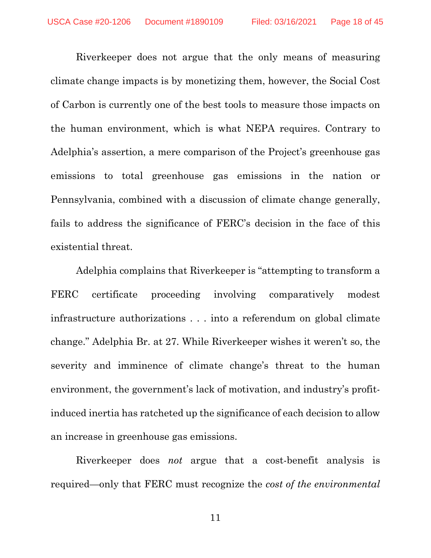Riverkeeper does not argue that the only means of measuring climate change impacts is by monetizing them, however, the Social Cost of Carbon is currently one of the best tools to measure those impacts on the human environment, which is what NEPA requires. Contrary to Adelphia's assertion, a mere comparison of the Project's greenhouse gas emissions to total greenhouse gas emissions in the nation or Pennsylvania, combined with a discussion of climate change generally, fails to address the significance of FERC's decision in the face of this existential threat.

Adelphia complains that Riverkeeper is "attempting to transform a FERC certificate proceeding involving comparatively modest infrastructure authorizations . . . into a referendum on global climate change." Adelphia Br. at 27. While Riverkeeper wishes it weren't so, the severity and imminence of climate change's threat to the human environment, the government's lack of motivation, and industry's profitinduced inertia has ratcheted up the significance of each decision to allow an increase in greenhouse gas emissions.

Riverkeeper does *not* argue that a cost-benefit analysis is required—only that FERC must recognize the *cost of the environmental* 

11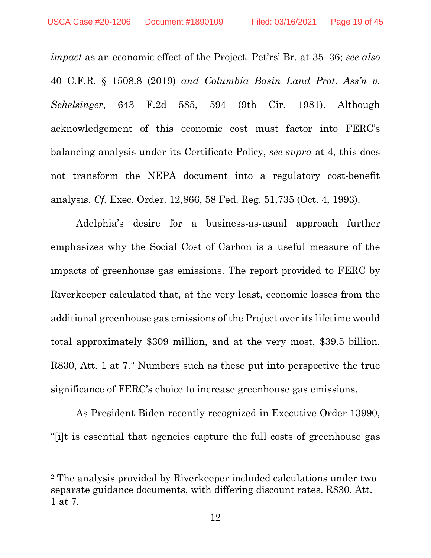*impact* as an economic effect of the Project. Pet'rs' Br. at 35–36; *see also*  40 C.F.R. § 1508.8 (2019) *and Columbia Basin Land Prot. Ass'n v. Schelsinger*, 643 F.2d 585, 594 (9th Cir. 1981). Although acknowledgement of this economic cost must factor into FERC's balancing analysis under its Certificate Policy, *see supra* at 4, this does not transform the NEPA document into a regulatory cost-benefit analysis. *Cf.* Exec. Order. 12,866, 58 Fed. Reg. 51,735 (Oct. 4, 1993).

Adelphia's desire for a business-as-usual approach further emphasizes why the Social Cost of Carbon is a useful measure of the impacts of greenhouse gas emissions. The report provided to FERC by Riverkeeper calculated that, at the very least, economic losses from the additional greenhouse gas emissions of the Project over its lifetime would total approximately \$309 million, and at the very most, \$39.5 billion. R830, Att. 1 at 7.[2](#page-18-0) Numbers such as these put into perspective the true significance of FERC's choice to increase greenhouse gas emissions.

As President Biden recently recognized in Executive Order 13990, "[i]t is essential that agencies capture the full costs of greenhouse gas

l

<span id="page-18-0"></span><sup>2</sup> The analysis provided by Riverkeeper included calculations under two separate guidance documents, with differing discount rates. R830, Att. 1 at 7.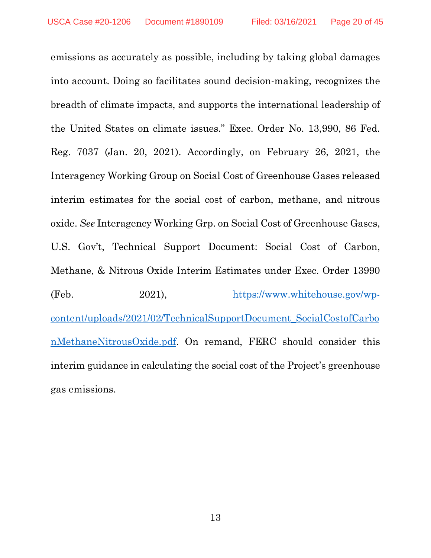emissions as accurately as possible, including by taking global damages into account. Doing so facilitates sound decision-making, recognizes the breadth of climate impacts, and supports the international leadership of the United States on climate issues." Exec. Order No. 13,990, 86 Fed. Reg. 7037 (Jan. 20, 2021). Accordingly, on February 26, 2021, the Interagency Working Group on Social Cost of Greenhouse Gases released interim estimates for the social cost of carbon, methane, and nitrous oxide. *See* Interagency Working Grp. on Social Cost of Greenhouse Gases, U.S. Gov't, Technical Support Document: Social Cost of Carbon, Methane, & Nitrous Oxide Interim Estimates under Exec. Order 13990 (Feb. 2021), [https://www.whitehouse.gov/wp](https://www.whitehouse.gov/wp-content/uploads/2021/02/TechnicalSupportDocument_SocialCostofCarbonMethaneNitrousOxide.pdf)[content/uploads/2021/02/TechnicalSupportDocument\\_SocialCostofCarbo](https://www.whitehouse.gov/wp-content/uploads/2021/02/TechnicalSupportDocument_SocialCostofCarbonMethaneNitrousOxide.pdf) [nMethaneNitrousOxide.pdf.](https://www.whitehouse.gov/wp-content/uploads/2021/02/TechnicalSupportDocument_SocialCostofCarbonMethaneNitrousOxide.pdf) On remand, FERC should consider this interim guidance in calculating the social cost of the Project's greenhouse gas emissions.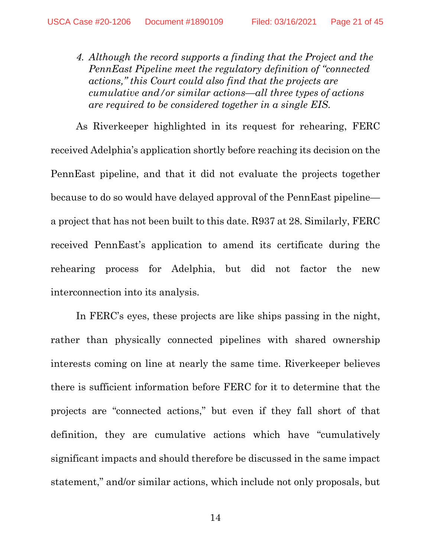<span id="page-20-0"></span>*4. Although the record supports a finding that the Project and the PennEast Pipeline meet the regulatory definition of "connected actions," this Court could also find that the projects are cumulative and/or similar actions—all three types of actions are required to be considered together in a single EIS.*

As Riverkeeper highlighted in its request for rehearing, FERC received Adelphia's application shortly before reaching its decision on the PennEast pipeline, and that it did not evaluate the projects together because to do so would have delayed approval of the PennEast pipeline a project that has not been built to this date. R937 at 28. Similarly, FERC received PennEast's application to amend its certificate during the rehearing process for Adelphia, but did not factor the new interconnection into its analysis.

In FERC's eyes, these projects are like ships passing in the night, rather than physically connected pipelines with shared ownership interests coming on line at nearly the same time. Riverkeeper believes there is sufficient information before FERC for it to determine that the projects are "connected actions," but even if they fall short of that definition, they are cumulative actions which have "cumulatively significant impacts and should therefore be discussed in the same impact statement," and/or similar actions, which include not only proposals, but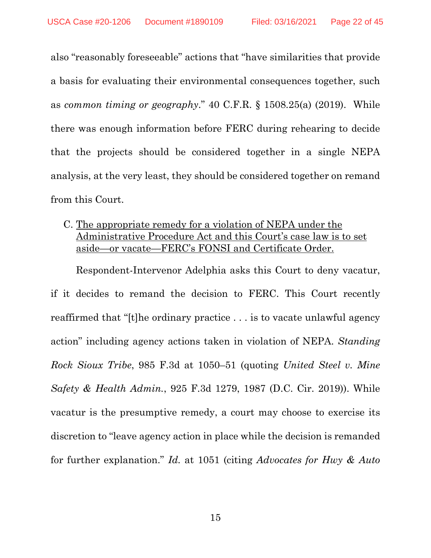also "reasonably foreseeable" actions that "have similarities that provide a basis for evaluating their environmental consequences together, such as *common timing or geography*." 40 C.F.R. § 1508.25(a) (2019). While there was enough information before FERC during rehearing to decide that the projects should be considered together in a single NEPA analysis, at the very least, they should be considered together on remand from this Court.

<span id="page-21-0"></span>C. The appropriate remedy for a violation of NEPA under the Administrative Procedure Act and this Court's case law is to set aside—or vacate—FERC's FONSI and Certificate Order.

Respondent-Intervenor Adelphia asks this Court to deny vacatur, if it decides to remand the decision to FERC. This Court recently reaffirmed that "[t]he ordinary practice . . . is to vacate unlawful agency action" including agency actions taken in violation of NEPA. *Standing Rock Sioux Tribe*, 985 F.3d at 1050–51 (quoting *United Steel v. Mine Safety & Health Admin.*, 925 F.3d 1279, 1987 (D.C. Cir. 2019)). While vacatur is the presumptive remedy, a court may choose to exercise its discretion to "leave agency action in place while the decision is remanded for further explanation." *Id.* at 1051 (citing *Advocates for Hwy & Auto*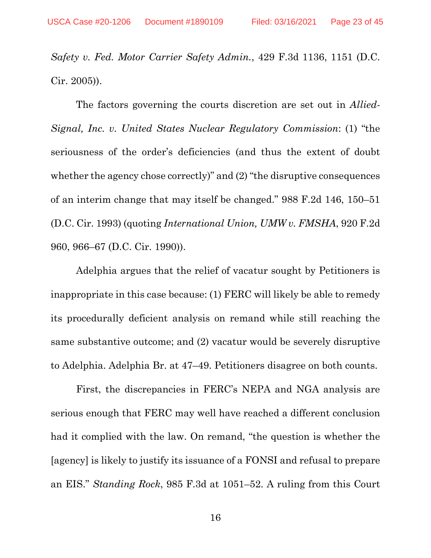*Safety v. Fed. Motor Carrier Safety Admin.*, 429 F.3d 1136, 1151 (D.C. Cir. 2005)).

The factors governing the courts discretion are set out in *Allied-Signal, Inc. v. United States Nuclear Regulatory Commission*: (1) "the seriousness of the order's deficiencies (and thus the extent of doubt whether the agency chose correctly)" and (2) "the disruptive consequences of an interim change that may itself be changed." 988 F.2d 146, 150–51 (D.C. Cir. 1993) (quoting *International Union, UMW v. FMSHA*, 920 F.2d 960, 966–67 (D.C. Cir. 1990)).

Adelphia argues that the relief of vacatur sought by Petitioners is inappropriate in this case because: (1) FERC will likely be able to remedy its procedurally deficient analysis on remand while still reaching the same substantive outcome; and (2) vacatur would be severely disruptive to Adelphia. Adelphia Br. at 47–49. Petitioners disagree on both counts.

First, the discrepancies in FERC's NEPA and NGA analysis are serious enough that FERC may well have reached a different conclusion had it complied with the law. On remand, "the question is whether the [agency] is likely to justify its issuance of a FONSI and refusal to prepare an EIS." *Standing Rock*, 985 F.3d at 1051–52. A ruling from this Court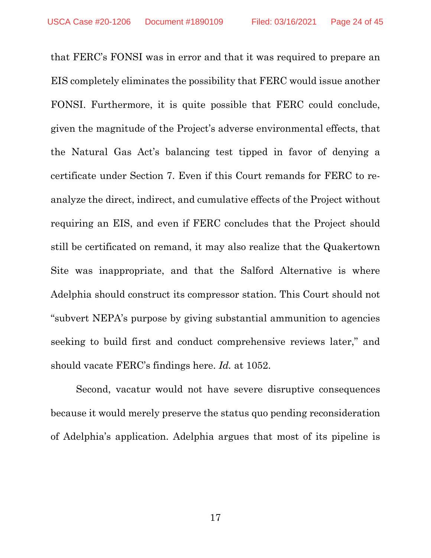that FERC's FONSI was in error and that it was required to prepare an EIS completely eliminates the possibility that FERC would issue another FONSI. Furthermore, it is quite possible that FERC could conclude, given the magnitude of the Project's adverse environmental effects, that the Natural Gas Act's balancing test tipped in favor of denying a certificate under Section 7. Even if this Court remands for FERC to reanalyze the direct, indirect, and cumulative effects of the Project without requiring an EIS, and even if FERC concludes that the Project should still be certificated on remand, it may also realize that the Quakertown Site was inappropriate, and that the Salford Alternative is where Adelphia should construct its compressor station. This Court should not "subvert NEPA's purpose by giving substantial ammunition to agencies seeking to build first and conduct comprehensive reviews later," and should vacate FERC's findings here. *Id.* at 1052.

Second, vacatur would not have severe disruptive consequences because it would merely preserve the status quo pending reconsideration of Adelphia's application. Adelphia argues that most of its pipeline is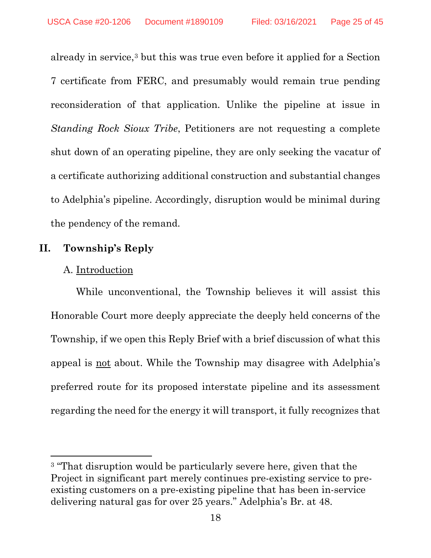already in service,[3](#page-24-2) but this was true even before it applied for a Section 7 certificate from FERC, and presumably would remain true pending reconsideration of that application. Unlike the pipeline at issue in *Standing Rock Sioux Tribe*, Petitioners are not requesting a complete shut down of an operating pipeline, they are only seeking the vacatur of a certificate authorizing additional construction and substantial changes to Adelphia's pipeline. Accordingly, disruption would be minimal during the pendency of the remand.

### <span id="page-24-0"></span>**II. Township's Reply**

#### <span id="page-24-1"></span>A. Introduction

l

While unconventional, the Township believes it will assist this Honorable Court more deeply appreciate the deeply held concerns of the Township, if we open this Reply Brief with a brief discussion of what this appeal is not about. While the Township may disagree with Adelphia's preferred route for its proposed interstate pipeline and its assessment regarding the need for the energy it will transport, it fully recognizes that

<span id="page-24-2"></span><sup>&</sup>lt;sup>3</sup> "That disruption would be particularly severe here, given that the Project in significant part merely continues pre-existing service to preexisting customers on a pre-existing pipeline that has been in-service delivering natural gas for over 25 years." Adelphia's Br. at 48.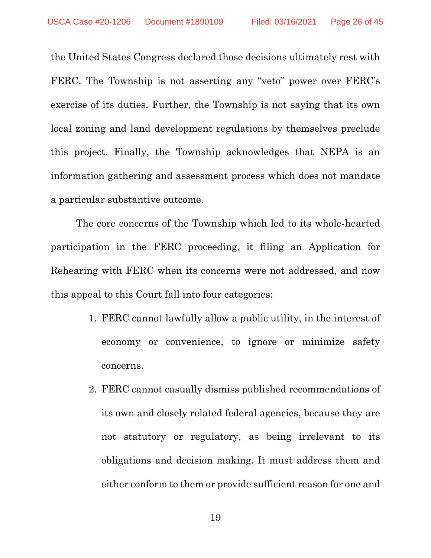the United States Congress declared those decisions ultimately rest with FERC. The Township is not asserting any "veto" power over FERC's exercise of its duties. Further, the Township is not saying that its own local zoning and land development regulations by themselves preclude this project. Finally, the Township acknowledges that NEPA is an information gathering and assessment process which does not mandate a particular substantive outcome.

The core concerns of the Township which led to its whole-hearted participation in the FERC proceeding, it filing an Application for Rehearing with FERC when its concerns were not addressed, and now this appeal to this Court fall into four categories:

- 1. FERC cannot lawfully allow a public utility, in the interest of economy or convenience, to ignore or minimize safety concerns.
- 2. FERC cannot casually dismiss published recommendations of its own and closely related federal agencies, because they are not statutory or regulatory, as being irrelevant to its obligations and decision making. It must address them and either conform to them or provide sufficient reason for one and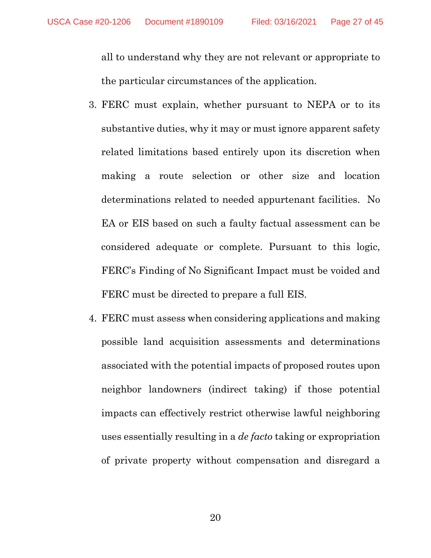all to understand why they are not relevant or appropriate to the particular circumstances of the application.

- 3. FERC must explain, whether pursuant to NEPA or to its substantive duties, why it may or must ignore apparent safety related limitations based entirely upon its discretion when making a route selection or other size and location determinations related to needed appurtenant facilities. No EA or EIS based on such a faulty factual assessment can be considered adequate or complete. Pursuant to this logic, FERC's Finding of No Significant Impact must be voided and FERC must be directed to prepare a full EIS.
- 4. FERC must assess when considering applications and making possible land acquisition assessments and determinations associated with the potential impacts of proposed routes upon neighbor landowners (indirect taking) if those potential impacts can effectively restrict otherwise lawful neighboring uses essentially resulting in a *de facto* taking or expropriation of private property without compensation and disregard a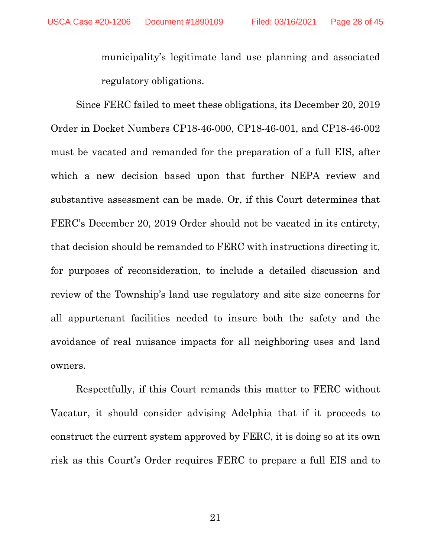municipality's legitimate land use planning and associated regulatory obligations.

Since FERC failed to meet these obligations, its December 20, 2019 Order in Docket Numbers CP18-46-000, CP18-46-001, and CP18-46-002 must be vacated and remanded for the preparation of a full EIS, after which a new decision based upon that further NEPA review and substantive assessment can be made. Or, if this Court determines that FERC's December 20, 2019 Order should not be vacated in its entirety, that decision should be remanded to FERC with instructions directing it, for purposes of reconsideration, to include a detailed discussion and review of the Township's land use regulatory and site size concerns for all appurtenant facilities needed to insure both the safety and the avoidance of real nuisance impacts for all neighboring uses and land owners.

Respectfully, if this Court remands this matter to FERC without Vacatur, it should consider advising Adelphia that if it proceeds to construct the current system approved by FERC, it is doing so at its own risk as this Court's Order requires FERC to prepare a full EIS and to

21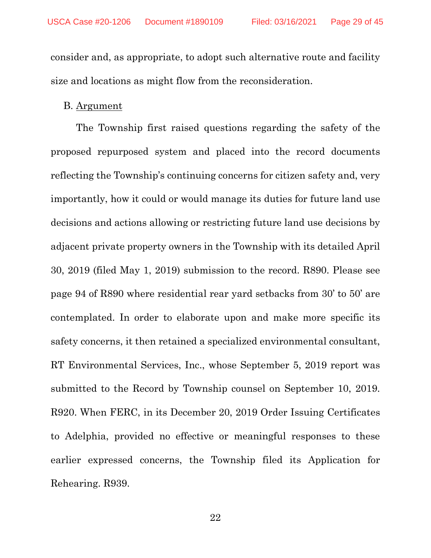consider and, as appropriate, to adopt such alternative route and facility size and locations as might flow from the reconsideration.

#### <span id="page-28-0"></span>B. Argument

The Township first raised questions regarding the safety of the proposed repurposed system and placed into the record documents reflecting the Township's continuing concerns for citizen safety and, very importantly, how it could or would manage its duties for future land use decisions and actions allowing or restricting future land use decisions by adjacent private property owners in the Township with its detailed April 30, 2019 (filed May 1, 2019) submission to the record. R890. Please see page 94 of R890 where residential rear yard setbacks from 30' to 50' are contemplated. In order to elaborate upon and make more specific its safety concerns, it then retained a specialized environmental consultant, RT Environmental Services, Inc., whose September 5, 2019 report was submitted to the Record by Township counsel on September 10, 2019. R920. When FERC, in its December 20, 2019 Order Issuing Certificates to Adelphia, provided no effective or meaningful responses to these earlier expressed concerns, the Township filed its Application for Rehearing. R939.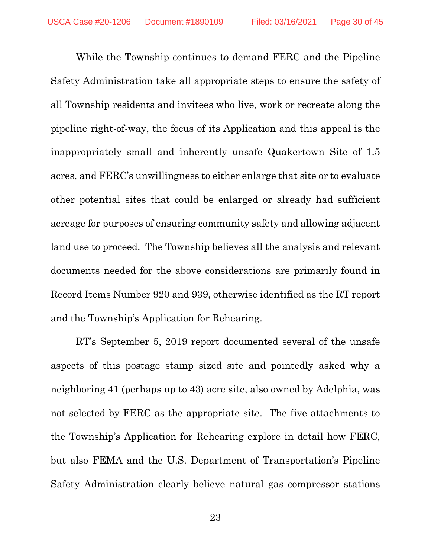While the Township continues to demand FERC and the Pipeline Safety Administration take all appropriate steps to ensure the safety of all Township residents and invitees who live, work or recreate along the pipeline right-of-way, the focus of its Application and this appeal is the inappropriately small and inherently unsafe Quakertown Site of 1.5 acres, and FERC's unwillingness to either enlarge that site or to evaluate other potential sites that could be enlarged or already had sufficient acreage for purposes of ensuring community safety and allowing adjacent land use to proceed. The Township believes all the analysis and relevant documents needed for the above considerations are primarily found in Record Items Number 920 and 939, otherwise identified as the RT report and the Township's Application for Rehearing.

RT's September 5, 2019 report documented several of the unsafe aspects of this postage stamp sized site and pointedly asked why a neighboring 41 (perhaps up to 43) acre site, also owned by Adelphia, was not selected by FERC as the appropriate site. The five attachments to the Township's Application for Rehearing explore in detail how FERC, but also FEMA and the U.S. Department of Transportation's Pipeline Safety Administration clearly believe natural gas compressor stations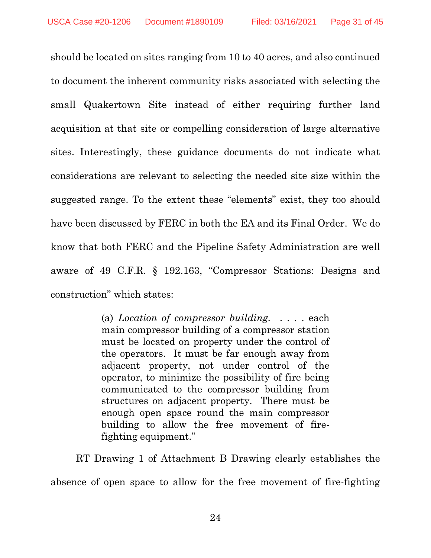should be located on sites ranging from 10 to 40 acres, and also continued to document the inherent community risks associated with selecting the small Quakertown Site instead of either requiring further land acquisition at that site or compelling consideration of large alternative sites. Interestingly, these guidance documents do not indicate what considerations are relevant to selecting the needed site size within the suggested range. To the extent these "elements" exist, they too should have been discussed by FERC in both the EA and its Final Order. We do know that both FERC and the Pipeline Safety Administration are well aware of 49 C.F.R. § 192.163, "Compressor Stations: Designs and construction" which states:

> (a) *Location of compressor building.* . . . . each main compressor building of a compressor station must be located on property under the control of the operators. It must be far enough away from adjacent property, not under control of the operator, to minimize the possibility of fire being communicated to the compressor building from structures on adjacent property. There must be enough open space round the main compressor building to allow the free movement of firefighting equipment."

RT Drawing 1 of Attachment B Drawing clearly establishes the absence of open space to allow for the free movement of fire-fighting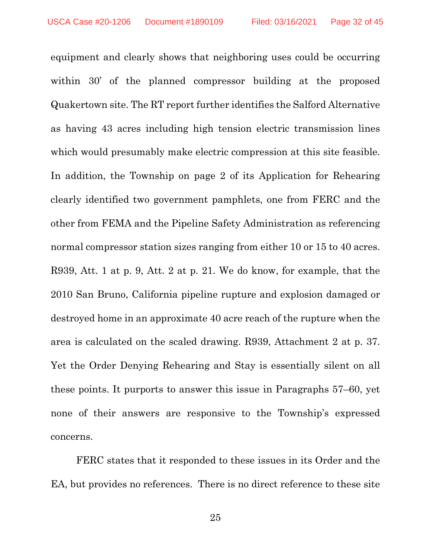equipment and clearly shows that neighboring uses could be occurring within 30' of the planned compressor building at the proposed Quakertown site. The RT report further identifies the Salford Alternative as having 43 acres including high tension electric transmission lines which would presumably make electric compression at this site feasible. In addition, the Township on page 2 of its Application for Rehearing clearly identified two government pamphlets, one from FERC and the other from FEMA and the Pipeline Safety Administration as referencing normal compressor station sizes ranging from either 10 or 15 to 40 acres. R939, Att. 1 at p. 9, Att. 2 at p. 21. We do know, for example, that the 2010 San Bruno, California pipeline rupture and explosion damaged or destroyed home in an approximate 40 acre reach of the rupture when the area is calculated on the scaled drawing. R939, Attachment 2 at p. 37. Yet the Order Denying Rehearing and Stay is essentially silent on all these points. It purports to answer this issue in Paragraphs 57–60, yet none of their answers are responsive to the Township's expressed concerns.

FERC states that it responded to these issues in its Order and the EA, but provides no references. There is no direct reference to these site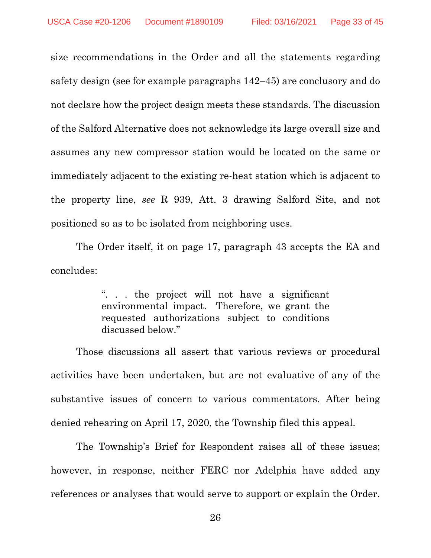size recommendations in the Order and all the statements regarding safety design (see for example paragraphs 142–45) are conclusory and do not declare how the project design meets these standards. The discussion of the Salford Alternative does not acknowledge its large overall size and assumes any new compressor station would be located on the same or immediately adjacent to the existing re-heat station which is adjacent to the property line, *see* R 939, Att. 3 drawing Salford Site, and not positioned so as to be isolated from neighboring uses.

The Order itself, it on page 17, paragraph 43 accepts the EA and concludes:

> ". . . the project will not have a significant environmental impact. Therefore, we grant the requested authorizations subject to conditions discussed below."

Those discussions all assert that various reviews or procedural activities have been undertaken, but are not evaluative of any of the substantive issues of concern to various commentators. After being denied rehearing on April 17, 2020, the Township filed this appeal.

The Township's Brief for Respondent raises all of these issues; however, in response, neither FERC nor Adelphia have added any references or analyses that would serve to support or explain the Order.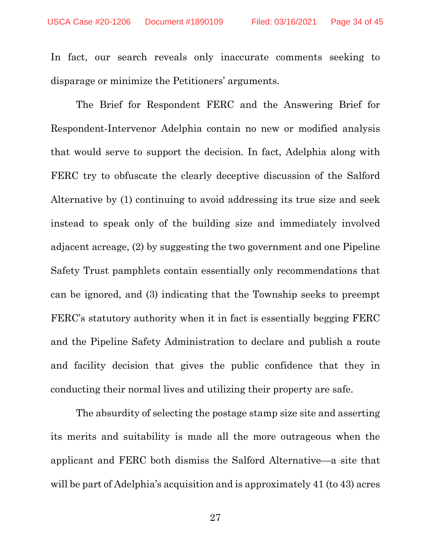In fact, our search reveals only inaccurate comments seeking to disparage or minimize the Petitioners' arguments.

The Brief for Respondent FERC and the Answering Brief for Respondent-Intervenor Adelphia contain no new or modified analysis that would serve to support the decision. In fact, Adelphia along with FERC try to obfuscate the clearly deceptive discussion of the Salford Alternative by (1) continuing to avoid addressing its true size and seek instead to speak only of the building size and immediately involved adjacent acreage, (2) by suggesting the two government and one Pipeline Safety Trust pamphlets contain essentially only recommendations that can be ignored, and (3) indicating that the Township seeks to preempt FERC's statutory authority when it in fact is essentially begging FERC and the Pipeline Safety Administration to declare and publish a route and facility decision that gives the public confidence that they in conducting their normal lives and utilizing their property are safe.

The absurdity of selecting the postage stamp size site and asserting its merits and suitability is made all the more outrageous when the applicant and FERC both dismiss the Salford Alternative—a site that will be part of Adelphia's acquisition and is approximately 41 (to 43) acres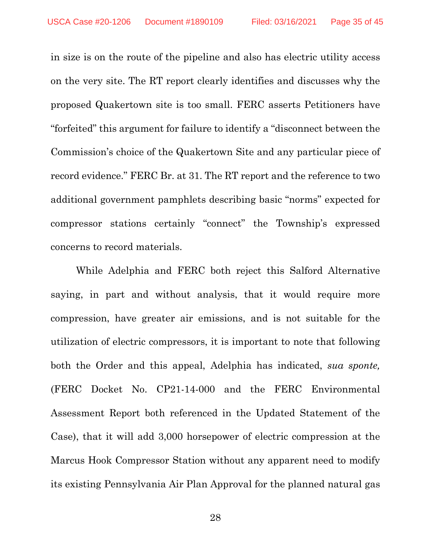in size is on the route of the pipeline and also has electric utility access on the very site. The RT report clearly identifies and discusses why the proposed Quakertown site is too small. FERC asserts Petitioners have "forfeited" this argument for failure to identify a "disconnect between the Commission's choice of the Quakertown Site and any particular piece of record evidence." FERC Br. at 31. The RT report and the reference to two additional government pamphlets describing basic "norms" expected for compressor stations certainly "connect" the Township's expressed concerns to record materials.

While Adelphia and FERC both reject this Salford Alternative saying, in part and without analysis, that it would require more compression, have greater air emissions, and is not suitable for the utilization of electric compressors, it is important to note that following both the Order and this appeal, Adelphia has indicated, *sua sponte,* (FERC Docket No. CP21-14-000 and the FERC Environmental Assessment Report both referenced in the Updated Statement of the Case), that it will add 3,000 horsepower of electric compression at the Marcus Hook Compressor Station without any apparent need to modify its existing Pennsylvania Air Plan Approval for the planned natural gas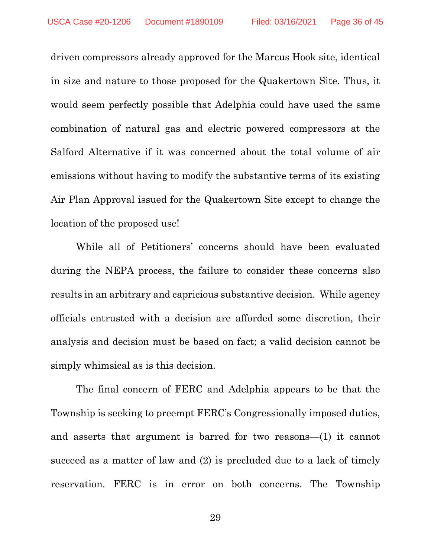driven compressors already approved for the Marcus Hook site, identical in size and nature to those proposed for the Quakertown Site. Thus, it would seem perfectly possible that Adelphia could have used the same combination of natural gas and electric powered compressors at the Salford Alternative if it was concerned about the total volume of air emissions without having to modify the substantive terms of its existing Air Plan Approval issued for the Quakertown Site except to change the location of the proposed use!

While all of Petitioners' concerns should have been evaluated during the NEPA process, the failure to consider these concerns also results in an arbitrary and capricious substantive decision. While agency officials entrusted with a decision are afforded some discretion, their analysis and decision must be based on fact; a valid decision cannot be simply whimsical as is this decision.

The final concern of FERC and Adelphia appears to be that the Township is seeking to preempt FERC's Congressionally imposed duties, and asserts that argument is barred for two reasons—(1) it cannot succeed as a matter of law and (2) is precluded due to a lack of timely reservation. FERC is in error on both concerns. The Township

29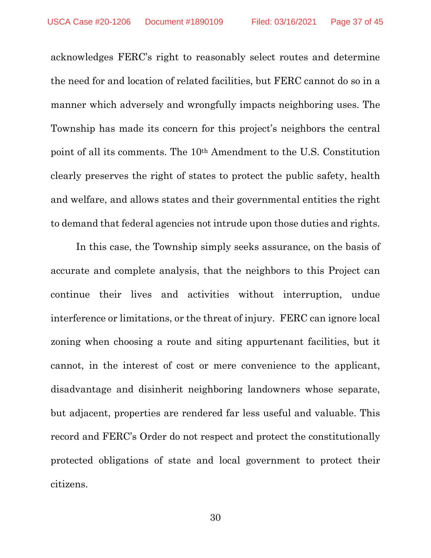acknowledges FERC's right to reasonably select routes and determine the need for and location of related facilities, but FERC cannot do so in a manner which adversely and wrongfully impacts neighboring uses. The Township has made its concern for this project's neighbors the central point of all its comments. The 10th Amendment to the U.S. Constitution clearly preserves the right of states to protect the public safety, health and welfare, and allows states and their governmental entities the right to demand that federal agencies not intrude upon those duties and rights.

In this case, the Township simply seeks assurance, on the basis of accurate and complete analysis, that the neighbors to this Project can continue their lives and activities without interruption, undue interference or limitations, or the threat of injury. FERC can ignore local zoning when choosing a route and siting appurtenant facilities, but it cannot, in the interest of cost or mere convenience to the applicant, disadvantage and disinherit neighboring landowners whose separate, but adjacent, properties are rendered far less useful and valuable. This record and FERC's Order do not respect and protect the constitutionally protected obligations of state and local government to protect their citizens.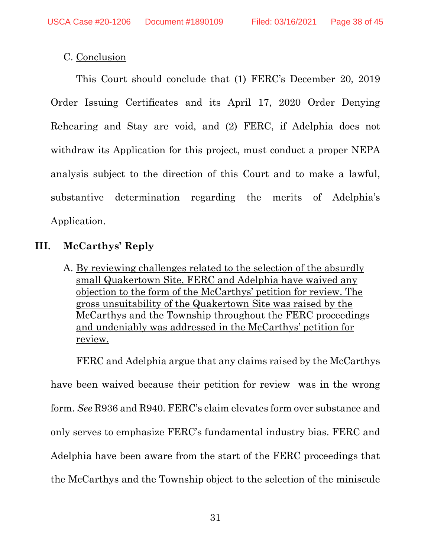### <span id="page-37-0"></span>C. Conclusion

This Court should conclude that (1) FERC's December 20, 2019 Order Issuing Certificates and its April 17, 2020 Order Denying Rehearing and Stay are void, and (2) FERC, if Adelphia does not withdraw its Application for this project, must conduct a proper NEPA analysis subject to the direction of this Court and to make a lawful, substantive determination regarding the merits of Adelphia's Application.

## <span id="page-37-1"></span>**III. McCarthys' Reply**

<span id="page-37-2"></span>A. By reviewing challenges related to the selection of the absurdly small Quakertown Site, FERC and Adelphia have waived any objection to the form of the McCarthys' petition for review. The gross unsuitability of the Quakertown Site was raised by the McCarthys and the Township throughout the FERC proceedings and undeniably was addressed in the McCarthys' petition for review.

FERC and Adelphia argue that any claims raised by the McCarthys have been waived because their petition for review was in the wrong form. *See* R936 and R940. FERC's claim elevates form over substance and only serves to emphasize FERC's fundamental industry bias. FERC and Adelphia have been aware from the start of the FERC proceedings that the McCarthys and the Township object to the selection of the miniscule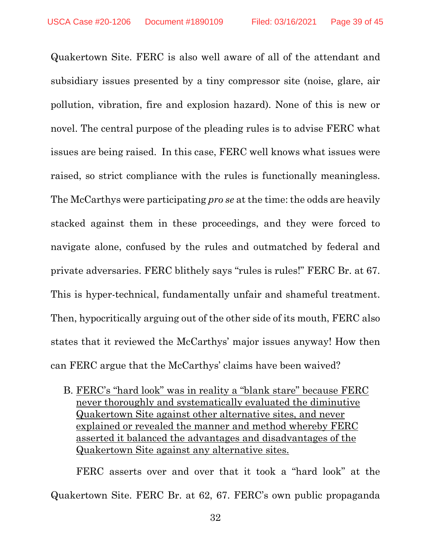Quakertown Site. FERC is also well aware of all of the attendant and subsidiary issues presented by a tiny compressor site (noise, glare, air pollution, vibration, fire and explosion hazard). None of this is new or novel. The central purpose of the pleading rules is to advise FERC what issues are being raised. In this case, FERC well knows what issues were raised, so strict compliance with the rules is functionally meaningless. The McCarthys were participating *pro se* at the time: the odds are heavily stacked against them in these proceedings, and they were forced to navigate alone, confused by the rules and outmatched by federal and private adversaries. FERC blithely says "rules is rules!" FERC Br. at 67. This is hyper-technical, fundamentally unfair and shameful treatment. Then, hypocritically arguing out of the other side of its mouth, FERC also states that it reviewed the McCarthys' major issues anyway! How then can FERC argue that the McCarthys' claims have been waived?

<span id="page-38-0"></span>B. FERC's "hard look" was in reality a "blank stare" because FERC never thoroughly and systematically evaluated the diminutive Quakertown Site against other alternative sites, and never explained or revealed the manner and method whereby FERC asserted it balanced the advantages and disadvantages of the Quakertown Site against any alternative sites.

FERC asserts over and over that it took a "hard look" at the Quakertown Site. FERC Br. at 62, 67. FERC's own public propaganda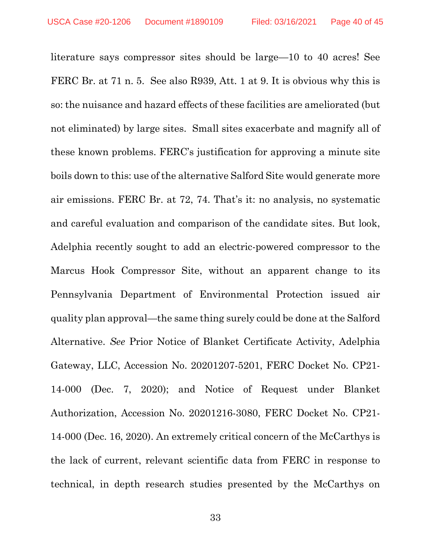literature says compressor sites should be large—10 to 40 acres! See FERC Br. at 71 n. 5. See also R939, Att. 1 at 9. It is obvious why this is so: the nuisance and hazard effects of these facilities are ameliorated (but not eliminated) by large sites. Small sites exacerbate and magnify all of these known problems. FERC's justification for approving a minute site boils down to this: use of the alternative Salford Site would generate more air emissions. FERC Br. at 72, 74. That's it: no analysis, no systematic and careful evaluation and comparison of the candidate sites. But look, Adelphia recently sought to add an electric-powered compressor to the Marcus Hook Compressor Site, without an apparent change to its Pennsylvania Department of Environmental Protection issued air quality plan approval—the same thing surely could be done at the Salford Alternative. *See* Prior Notice of Blanket Certificate Activity, Adelphia Gateway, LLC, Accession No. 20201207-5201, FERC Docket No. CP21- 14-000 (Dec. 7, 2020); and Notice of Request under Blanket Authorization, Accession No. 20201216-3080, FERC Docket No. CP21- 14-000 (Dec. 16, 2020). An extremely critical concern of the McCarthys is the lack of current, relevant scientific data from FERC in response to technical, in depth research studies presented by the McCarthys on

33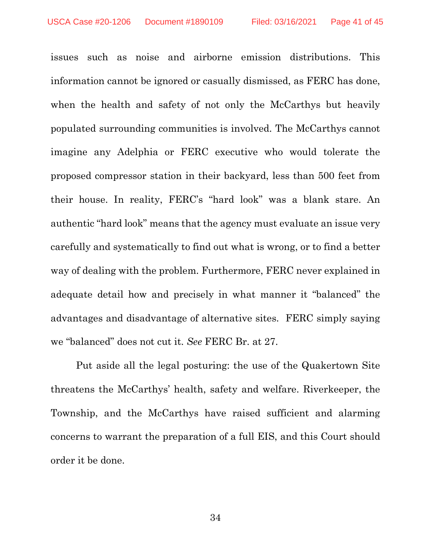issues such as noise and airborne emission distributions. This information cannot be ignored or casually dismissed, as FERC has done, when the health and safety of not only the McCarthys but heavily populated surrounding communities is involved. The McCarthys cannot imagine any Adelphia or FERC executive who would tolerate the proposed compressor station in their backyard, less than 500 feet from their house. In reality, FERC's "hard look" was a blank stare. An authentic "hard look" means that the agency must evaluate an issue very carefully and systematically to find out what is wrong, or to find a better way of dealing with the problem. Furthermore, FERC never explained in adequate detail how and precisely in what manner it "balanced" the advantages and disadvantage of alternative sites. FERC simply saying we "balanced" does not cut it. *See* FERC Br. at 27.

Put aside all the legal posturing: the use of the Quakertown Site threatens the McCarthys' health, safety and welfare. Riverkeeper, the Township, and the McCarthys have raised sufficient and alarming concerns to warrant the preparation of a full EIS, and this Court should order it be done.

34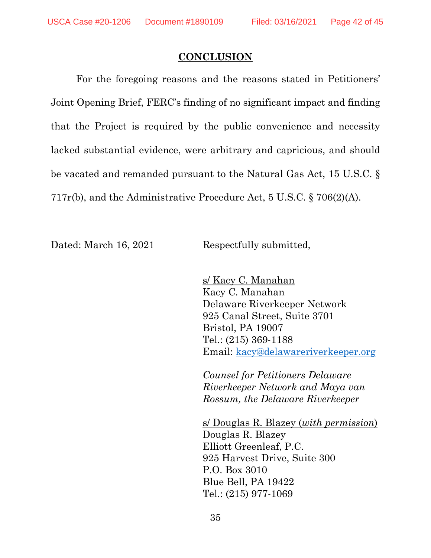#### **CONCLUSION**

<span id="page-41-0"></span>For the foregoing reasons and the reasons stated in Petitioners' Joint Opening Brief, FERC's finding of no significant impact and finding that the Project is required by the public convenience and necessity lacked substantial evidence, were arbitrary and capricious, and should be vacated and remanded pursuant to the Natural Gas Act, 15 U.S.C. § 717r(b), and the Administrative Procedure Act, 5 U.S.C. § 706(2)(A).

Dated: March 16, 2021 Respectfully submitted,

s/ Kacy C. Manahan Kacy C. Manahan Delaware Riverkeeper Network 925 Canal Street, Suite 3701 Bristol, PA 19007 Tel.: (215) 369-1188 Email: [kacy@delawareriverkeeper.org](mailto:kacy@delawareriverkeeper.org)

*Counsel for Petitioners Delaware Riverkeeper Network and Maya van Rossum, the Delaware Riverkeeper*

s/ Douglas R. Blazey (*with permission*) Douglas R. Blazey Elliott Greenleaf, P.C. 925 Harvest Drive, Suite 300 P.O. Box 3010 Blue Bell, PA 19422 Tel.: (215) 977-1069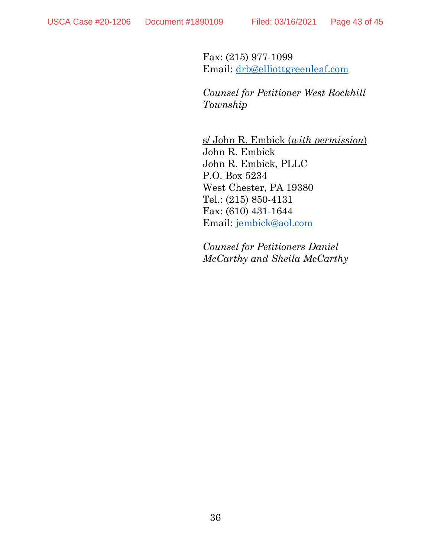Fax: (215) 977-1099 Email: [drb@elliottgreenleaf.com](mailto:drb@elliottgreenleaf.com)

*Counsel for Petitioner West Rockhill Township*

s/ John R. Embick (*with permission*) John R. Embick John R. Embick, PLLC P.O. Box 5234 West Chester, PA 19380 Tel.: (215) 850-4131 Fax: (610) 431-1644 Email: [jembick@aol.com](mailto:jembick@aol.com)

*Counsel for Petitioners Daniel McCarthy and Sheila McCarthy*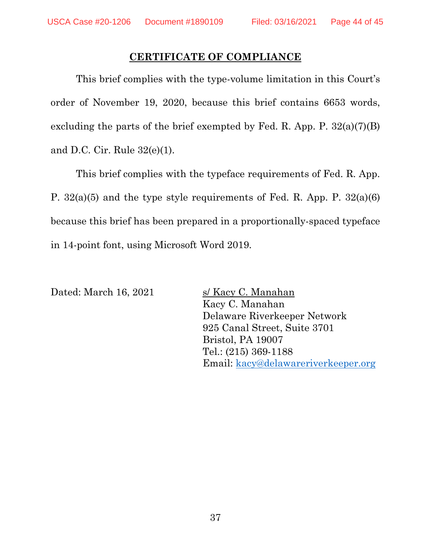### **CERTIFICATE OF COMPLIANCE**

<span id="page-43-0"></span>This brief complies with the type-volume limitation in this Court's order of November 19, 2020, because this brief contains 6653 words, excluding the parts of the brief exempted by Fed. R. App. P.  $32(a)(7)(B)$ and D.C. Cir. Rule 32(e)(1).

This brief complies with the typeface requirements of Fed. R. App. P. 32(a)(5) and the type style requirements of Fed. R. App. P. 32(a)(6) because this brief has been prepared in a proportionally-spaced typeface in 14-point font, using Microsoft Word 2019.

Dated: March 16, 2021 s/ Kacy C. Manahan

Kacy C. Manahan Delaware Riverkeeper Network 925 Canal Street, Suite 3701 Bristol, PA 19007 Tel.: (215) 369-1188 Email: [kacy@delawareriverkeeper.org](mailto:kacy@delawareriverkeeper.org)